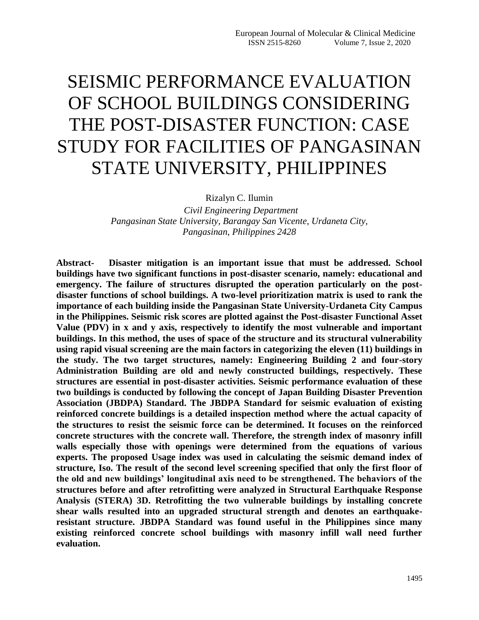# SEISMIC PERFORMANCE EVALUATION OF SCHOOL BUILDINGS CONSIDERING THE POST-DISASTER FUNCTION: CASE STUDY FOR FACILITIES OF PANGASINAN STATE UNIVERSITY, PHILIPPINES

Rizalyn C. Ilumin

 *Civil Engineering Department Pangasinan State University, Barangay San Vicente, Urdaneta City, Pangasinan, Philippines 2428*

**Abstract- Disaster mitigation is an important issue that must be addressed. School buildings have two significant functions in post-disaster scenario, namely: educational and emergency. The failure of structures disrupted the operation particularly on the postdisaster functions of school buildings. A two-level prioritization matrix is used to rank the importance of each building inside the Pangasinan State University-Urdaneta City Campus in the Philippines. Seismic risk scores are plotted against the Post-disaster Functional Asset Value (PDV) in x and y axis, respectively to identify the most vulnerable and important buildings. In this method, the uses of space of the structure and its structural vulnerability using rapid visual screening are the main factors in categorizing the eleven (11) buildings in the study. The two target structures, namely: Engineering Building 2 and four-story Administration Building are old and newly constructed buildings, respectively. These structures are essential in post-disaster activities. Seismic performance evaluation of these two buildings is conducted by following the concept of Japan Building Disaster Prevention Association (JBDPA) Standard. The JBDPA Standard for seismic evaluation of existing reinforced concrete buildings is a detailed inspection method where the actual capacity of the structures to resist the seismic force can be determined. It focuses on the reinforced concrete structures with the concrete wall. Therefore, the strength index of masonry infill walls especially those with openings were determined from the equations of various experts. The proposed Usage index was used in calculating the seismic demand index of structure, Iso. The result of the second level screening specified that only the first floor of the old and new buildings' longitudinal axis need to be strengthened. The behaviors of the structures before and after retrofitting were analyzed in Structural Earthquake Response Analysis (STERA) 3D. Retrofitting the two vulnerable buildings by installing concrete shear walls resulted into an upgraded structural strength and denotes an earthquakeresistant structure. JBDPA Standard was found useful in the Philippines since many existing reinforced concrete school buildings with masonry infill wall need further evaluation.**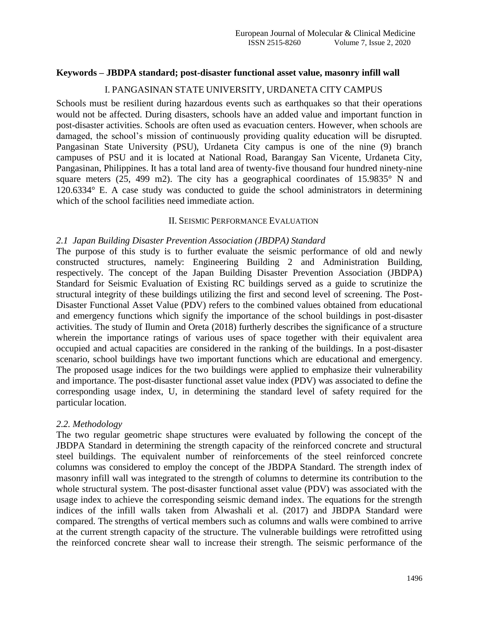#### **Keywords – JBDPA standard; post-disaster functional asset value, masonry infill wall**

### I. PANGASINAN STATE UNIVERSITY, URDANETA CITY CAMPUS

Schools must be resilient during hazardous events such as earthquakes so that their operations would not be affected. During disasters, schools have an added value and important function in post-disaster activities. Schools are often used as evacuation centers. However, when schools are damaged, the school's mission of continuously providing quality education will be disrupted. Pangasinan State University (PSU), Urdaneta City campus is one of the nine (9) branch campuses of PSU and it is located at National Road, Barangay San Vicente, Urdaneta City, Pangasinan, Philippines. It has a total land area of twenty-five thousand four hundred ninety-nine square meters (25, 499 m2). The city has a geographical coordinates of 15.9835° N and 120.6334° E. A case study was conducted to guide the school administrators in determining which of the school facilities need immediate action.

#### II. SEISMIC PERFORMANCE EVALUATION

#### *2.1 Japan Building Disaster Prevention Association (JBDPA) Standard*

The purpose of this study is to further evaluate the seismic performance of old and newly constructed structures, namely: Engineering Building 2 and Administration Building, respectively. The concept of the Japan Building Disaster Prevention Association (JBDPA) Standard for Seismic Evaluation of Existing RC buildings served as a guide to scrutinize the structural integrity of these buildings utilizing the first and second level of screening. The Post-Disaster Functional Asset Value (PDV) refers to the combined values obtained from educational and emergency functions which signify the importance of the school buildings in post-disaster activities. The study of Ilumin and Oreta (2018) furtherly describes the significance of a structure wherein the importance ratings of various uses of space together with their equivalent area occupied and actual capacities are considered in the ranking of the buildings. In a post-disaster scenario, school buildings have two important functions which are educational and emergency. The proposed usage indices for the two buildings were applied to emphasize their vulnerability and importance. The post-disaster functional asset value index (PDV) was associated to define the corresponding usage index, U, in determining the standard level of safety required for the particular location.

## *2.2. Methodology*

The two regular geometric shape structures were evaluated by following the concept of the JBDPA Standard in determining the strength capacity of the reinforced concrete and structural steel buildings. The equivalent number of reinforcements of the steel reinforced concrete columns was considered to employ the concept of the JBDPA Standard. The strength index of masonry infill wall was integrated to the strength of columns to determine its contribution to the whole structural system. The post-disaster functional asset value (PDV) was associated with the usage index to achieve the corresponding seismic demand index. The equations for the strength indices of the infill walls taken from Alwashali et al. (2017) and JBDPA Standard were compared. The strengths of vertical members such as columns and walls were combined to arrive at the current strength capacity of the structure. The vulnerable buildings were retrofitted using the reinforced concrete shear wall to increase their strength. The seismic performance of the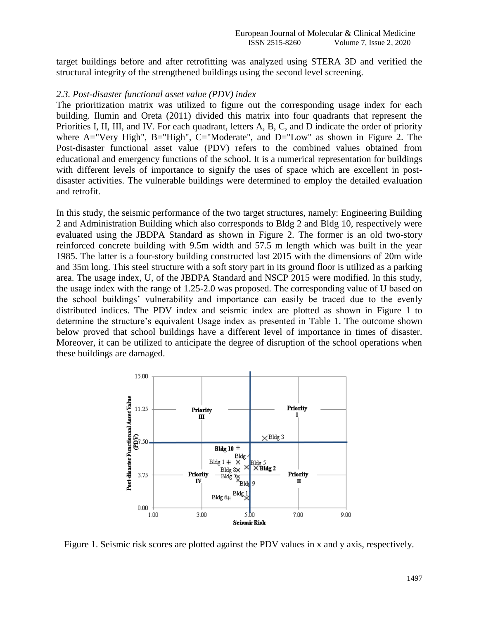target buildings before and after retrofitting was analyzed using STERA 3D and verified the structural integrity of the strengthened buildings using the second level screening.

#### *2.3. Post-disaster functional asset value (PDV) index*

The prioritization matrix was utilized to figure out the corresponding usage index for each building. Ilumin and Oreta (2011) divided this matrix into four quadrants that represent the Priorities I, II, III, and IV. For each quadrant, letters A, B, C, and D indicate the order of priority where A="Very High", B="High", C="Moderate", and D="Low" as shown in Figure 2. The Post-disaster functional asset value (PDV) refers to the combined values obtained from educational and emergency functions of the school. It is a numerical representation for buildings with different levels of importance to signify the uses of space which are excellent in postdisaster activities. The vulnerable buildings were determined to employ the detailed evaluation and retrofit.

In this study, the seismic performance of the two target structures, namely: Engineering Building 2 and Administration Building which also corresponds to Bldg 2 and Bldg 10, respectively were evaluated using the JBDPA Standard as shown in Figure 2. The former is an old two-story reinforced concrete building with 9.5m width and 57.5 m length which was built in the year 1985. The latter is a four-story building constructed last 2015 with the dimensions of 20m wide and 35m long. This steel structure with a soft story part in its ground floor is utilized as a parking area. The usage index, U, of the JBDPA Standard and NSCP 2015 were modified. In this study, the usage index with the range of 1.25-2.0 was proposed. The corresponding value of U based on the school buildings' vulnerability and importance can easily be traced due to the evenly distributed indices. The PDV index and seismic index are plotted as shown in Figure 1 to determine the structure's equivalent Usage index as presented in Table 1. The outcome shown below proved that school buildings have a different level of importance in times of disaster. Moreover, it can be utilized to anticipate the degree of disruption of the school operations when these buildings are damaged.



Figure 1. Seismic risk scores are plotted against the PDV values in x and y axis, respectively.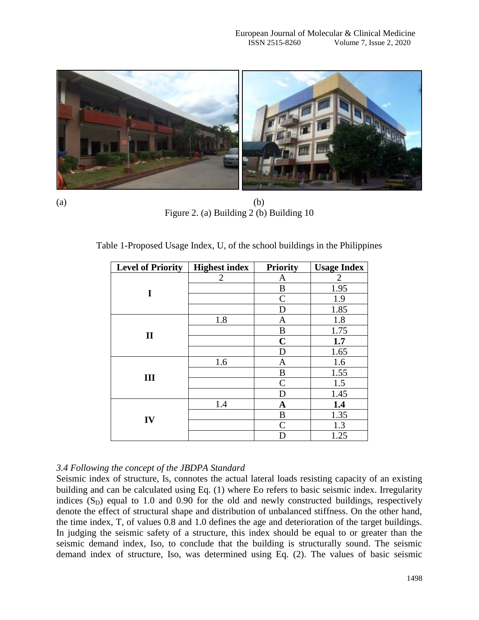

 $(a)$  (b) Figure 2. (a) Building 2 (b) Building 10

|  |  |  |  | Table 1-Proposed Usage Index, U, of the school buildings in the Philippines |
|--|--|--|--|-----------------------------------------------------------------------------|
|  |  |  |  |                                                                             |

| <b>Level of Priority</b> | <b>Highest index</b> | <b>Priority</b> | <b>Usage Index</b> |
|--------------------------|----------------------|-----------------|--------------------|
|                          | 2                    | A               | 2                  |
| I                        |                      | B               | 1.95               |
|                          |                      | $\mathcal{C}$   | 1.9                |
|                          |                      | D               | 1.85               |
|                          | 1.8                  | A               | 1.8                |
| $\mathbf{I}$             |                      | B               | 1.75               |
|                          |                      | $\mathbf C$     | 1.7                |
|                          |                      | D               | 1.65               |
|                          | 1.6                  | A               | 1.6                |
| III                      |                      | B               | 1.55               |
|                          |                      | $\mathcal{C}$   | 1.5                |
|                          |                      | D               | 1.45               |
|                          | 1.4                  | $\mathbf A$     | 1.4                |
| IV                       |                      | B               | 1.35               |
|                          |                      | $\mathsf{C}$    | 1.3                |
|                          |                      | D               | 1.25               |

## *3.4 Following the concept of the JBDPA Standard*

Seismic index of structure, Is, connotes the actual lateral loads resisting capacity of an existing building and can be calculated using Eq. (1) where Eo refers to basic seismic index. Irregularity indices  $(S_D)$  equal to 1.0 and 0.90 for the old and newly constructed buildings, respectively denote the effect of structural shape and distribution of unbalanced stiffness. On the other hand, the time index, T, of values 0.8 and 1.0 defines the age and deterioration of the target buildings. In judging the seismic safety of a structure, this index should be equal to or greater than the seismic demand index, Iso, to conclude that the building is structurally sound. The seismic demand index of structure, Iso, was determined using Eq. (2). The values of basic seismic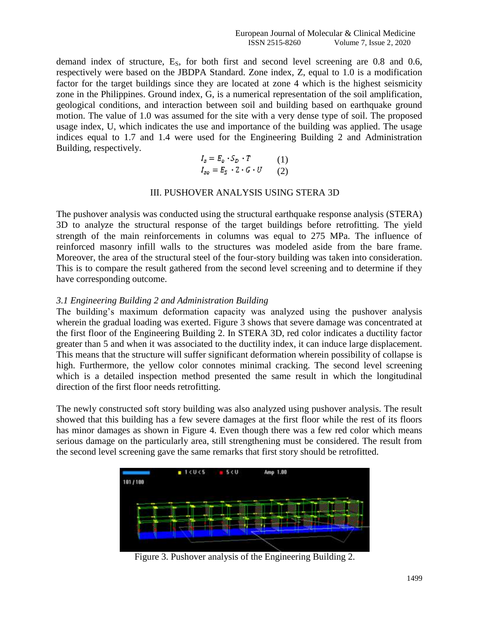demand index of structure,  $E_s$ , for both first and second level screening are 0.8 and 0.6, respectively were based on the JBDPA Standard. Zone index, Z, equal to 1.0 is a modification factor for the target buildings since they are located at zone 4 which is the highest seismicity zone in the Philippines. Ground index, G, is a numerical representation of the soil amplification, geological conditions, and interaction between soil and building based on earthquake ground motion. The value of 1.0 was assumed for the site with a very dense type of soil. The proposed usage index, U, which indicates the use and importance of the building was applied. The usage indices equal to 1.7 and 1.4 were used for the Engineering Building 2 and Administration Building, respectively.

$$
I_s = E_o \cdot S_D \cdot T \qquad (1)
$$
  

$$
I_{so} = E_S \cdot Z \cdot G \cdot U \qquad (2)
$$

#### III. PUSHOVER ANALYSIS USING STERA 3D

The pushover analysis was conducted using the structural earthquake response analysis (STERA) 3D to analyze the structural response of the target buildings before retrofitting. The yield strength of the main reinforcements in columns was equal to 275 MPa. The influence of reinforced masonry infill walls to the structures was modeled aside from the bare frame. Moreover, the area of the structural steel of the four-story building was taken into consideration. This is to compare the result gathered from the second level screening and to determine if they have corresponding outcome.

#### *3.1 Engineering Building 2 and Administration Building*

The building's maximum deformation capacity was analyzed using the pushover analysis wherein the gradual loading was exerted. Figure 3 shows that severe damage was concentrated at the first floor of the Engineering Building 2. In STERA 3D, red color indicates a ductility factor greater than 5 and when it was associated to the ductility index, it can induce large displacement. This means that the structure will suffer significant deformation wherein possibility of collapse is high. Furthermore, the yellow color connotes minimal cracking. The second level screening which is a detailed inspection method presented the same result in which the longitudinal direction of the first floor needs retrofitting.

The newly constructed soft story building was also analyzed using pushover analysis. The result showed that this building has a few severe damages at the first floor while the rest of its floors has minor damages as shown in Figure 4. Even though there was a few red color which means serious damage on the particularly area, still strengthening must be considered. The result from the second level screening gave the same remarks that first story should be retrofitted.



Figure 3. Pushover analysis of the Engineering Building 2.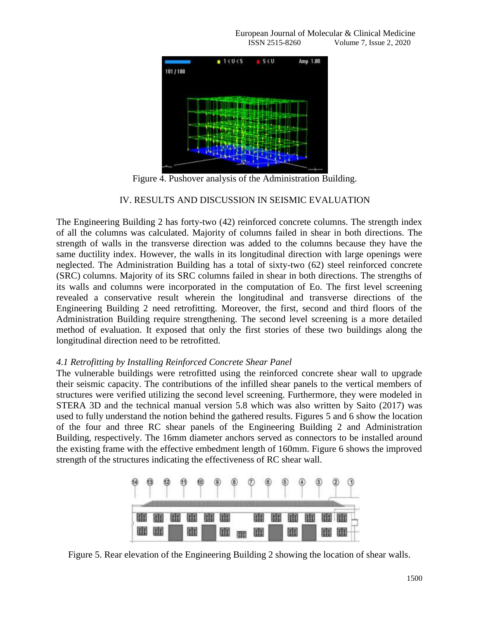European Journal of Molecular & Clinical Medicine ISSN 2515-8260 Volume 7, Issue 2, 2020



Figure 4. Pushover analysis of the Administration Building.

## IV. RESULTS AND DISCUSSION IN SEISMIC EVALUATION

The Engineering Building 2 has forty-two (42) reinforced concrete columns. The strength index of all the columns was calculated. Majority of columns failed in shear in both directions. The strength of walls in the transverse direction was added to the columns because they have the same ductility index. However, the walls in its longitudinal direction with large openings were neglected. The Administration Building has a total of sixty-two (62) steel reinforced concrete (SRC) columns. Majority of its SRC columns failed in shear in both directions. The strengths of its walls and columns were incorporated in the computation of Eo. The first level screening revealed a conservative result wherein the longitudinal and transverse directions of the Engineering Building 2 need retrofitting. Moreover, the first, second and third floors of the Administration Building require strengthening. The second level screening is a more detailed method of evaluation. It exposed that only the first stories of these two buildings along the longitudinal direction need to be retrofitted.

## *4.1 Retrofitting by Installing Reinforced Concrete Shear Panel*

The vulnerable buildings were retrofitted using the reinforced concrete shear wall to upgrade their seismic capacity. The contributions of the infilled shear panels to the vertical members of structures were verified utilizing the second level screening. Furthermore, they were modeled in STERA 3D and the technical manual version 5.8 which was also written by Saito (2017) was used to fully understand the notion behind the gathered results. Figures 5 and 6 show the location of the four and three RC shear panels of the Engineering Building 2 and Administration Building, respectively. The 16mm diameter anchors served as connectors to be installed around the existing frame with the effective embedment length of 160mm. Figure 6 shows the improved strength of the structures indicating the effectiveness of RC shear wall.



Figure 5. Rear elevation of the Engineering Building 2 showing the location of shear walls.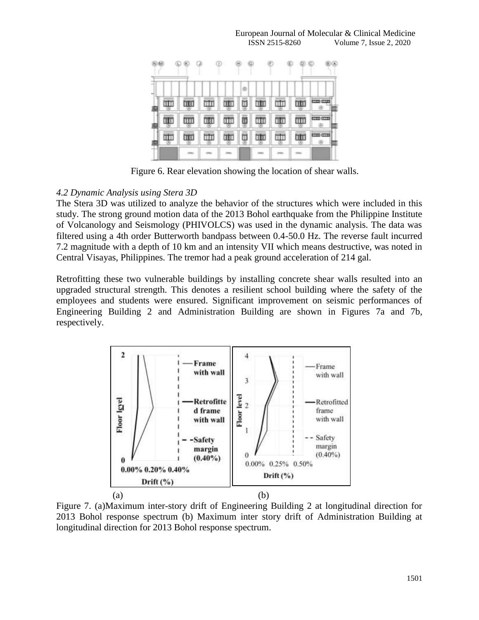

Figure 6. Rear elevation showing the location of shear walls.

## *4.2 Dynamic Analysis using Stera 3D*

The Stera 3D was utilized to analyze the behavior of the structures which were included in this study. The strong ground motion data of the 2013 Bohol earthquake from the Philippine Institute of Volcanology and Seismology (PHIVOLCS) was used in the dynamic analysis. The data was filtered using a 4th order Butterworth bandpass between 0.4-50.0 Hz. The reverse fault incurred 7.2 magnitude with a depth of 10 km and an intensity VII which means destructive, was noted in Central Visayas, Philippines. The tremor had a peak ground acceleration of 214 gal.

Retrofitting these two vulnerable buildings by installing concrete shear walls resulted into an upgraded structural strength. This denotes a resilient school building where the safety of the employees and students were ensured. Significant improvement on seismic performances of Engineering Building 2 and Administration Building are shown in Figures 7a and 7b, respectively.



Figure 7. (a)Maximum inter-story drift of Engineering Building 2 at longitudinal direction for 2013 Bohol response spectrum (b) Maximum inter story drift of Administration Building at longitudinal direction for 2013 Bohol response spectrum.